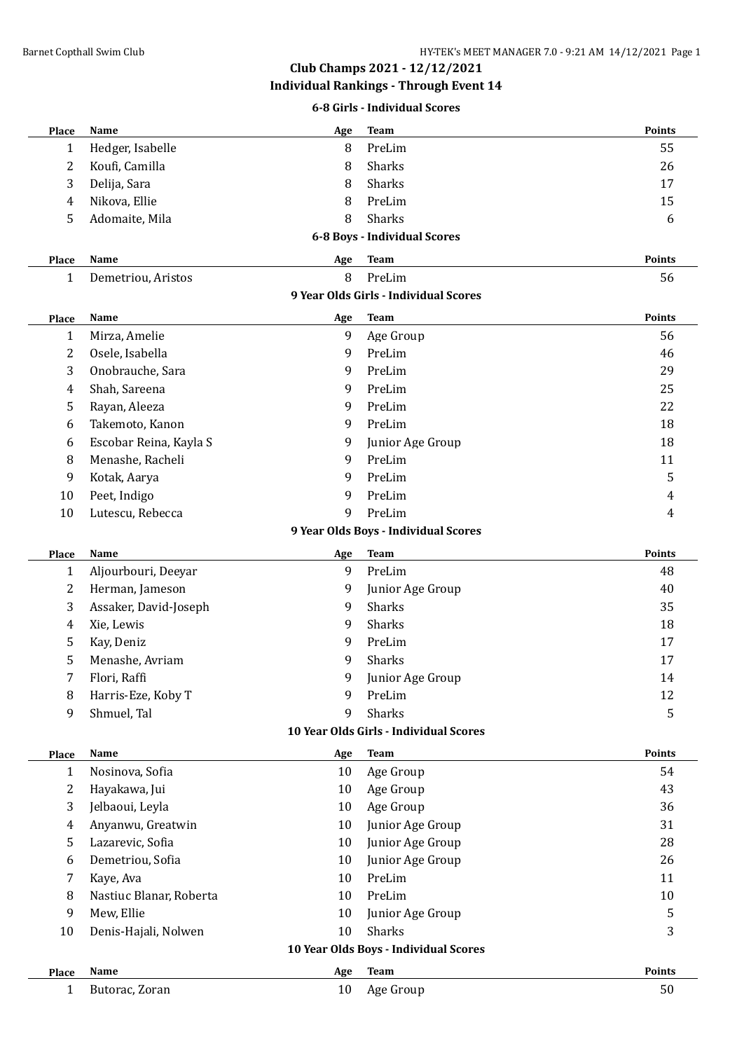# **Club Champs 2021 - 12/12/2021**

**Individual Rankings - Through Event 14**

#### **6-8 Girls - Individual Scores**

| Place                                 | Name                    | Age | <b>Team</b>                            | Points |  |  |  |  |
|---------------------------------------|-------------------------|-----|----------------------------------------|--------|--|--|--|--|
| 1                                     | Hedger, Isabelle        | 8   | PreLim                                 | 55     |  |  |  |  |
| 2                                     | Koufi, Camilla          | 8   | Sharks                                 | 26     |  |  |  |  |
| 3                                     | Delija, Sara            | 8   | Sharks                                 | 17     |  |  |  |  |
| 4                                     | Nikova, Ellie           | 8   | PreLim                                 | 15     |  |  |  |  |
| 5                                     | Adomaite, Mila          | 8   | Sharks                                 | 6      |  |  |  |  |
| 6-8 Boys - Individual Scores          |                         |     |                                        |        |  |  |  |  |
| Place                                 | Name                    | Age | <b>Team</b>                            | Points |  |  |  |  |
| 1                                     | Demetriou, Aristos      | 8   | PreLim                                 | 56     |  |  |  |  |
| 9 Year Olds Girls - Individual Scores |                         |     |                                        |        |  |  |  |  |
| Place                                 | Name                    | Age | <b>Team</b>                            | Points |  |  |  |  |
| 1                                     | Mirza, Amelie           | 9   | Age Group                              | 56     |  |  |  |  |
| 2                                     | Osele, Isabella         | 9   | PreLim                                 | 46     |  |  |  |  |
| 3                                     | Onobrauche, Sara        | 9   | PreLim                                 | 29     |  |  |  |  |
| 4                                     | Shah, Sareena           | 9   | PreLim                                 | 25     |  |  |  |  |
| 5                                     | Rayan, Aleeza           | 9   | PreLim                                 | 22     |  |  |  |  |
| 6                                     | Takemoto, Kanon         | 9   | PreLim                                 | 18     |  |  |  |  |
| 6                                     | Escobar Reina, Kayla S  | 9   | Junior Age Group                       | 18     |  |  |  |  |
| 8                                     | Menashe, Racheli        | 9   | PreLim                                 | 11     |  |  |  |  |
| 9                                     | Kotak, Aarya            | 9   | PreLim                                 | 5      |  |  |  |  |
| 10                                    | Peet, Indigo            | 9   | PreLim                                 | 4      |  |  |  |  |
| 10                                    | Lutescu, Rebecca        | 9   | PreLim                                 | 4      |  |  |  |  |
|                                       |                         |     | 9 Year Olds Boys - Individual Scores   |        |  |  |  |  |
| Place                                 | Name                    | Age | <b>Team</b>                            | Points |  |  |  |  |
| 1                                     | Aljourbouri, Deeyar     | 9   | PreLim                                 | 48     |  |  |  |  |
| 2                                     | Herman, Jameson         | 9   | Junior Age Group                       | 40     |  |  |  |  |
| 3                                     | Assaker, David-Joseph   | 9   | Sharks                                 | 35     |  |  |  |  |
| 4                                     | Xie, Lewis              | 9   | Sharks                                 | 18     |  |  |  |  |
| 5                                     | Kay, Deniz              | 9   | PreLim                                 | 17     |  |  |  |  |
| 5                                     | Menashe, Avriam         | 9   | Sharks                                 | 17     |  |  |  |  |
| 7                                     | Flori, Raffi            | 9   | Junior Age Group                       | 14     |  |  |  |  |
| 8                                     | Harris-Eze, Koby T      | 9   | PreLim                                 | 12     |  |  |  |  |
| 9                                     | Shmuel, Tal             | 9   | Sharks                                 | 5      |  |  |  |  |
|                                       |                         |     | 10 Year Olds Girls - Individual Scores |        |  |  |  |  |
| Place                                 | Name                    | Age | <b>Team</b>                            | Points |  |  |  |  |
| 1                                     | Nosinova, Sofia         | 10  | Age Group                              | 54     |  |  |  |  |
| 2                                     | Hayakawa, Jui           | 10  | Age Group                              | 43     |  |  |  |  |
| 3                                     | Jelbaoui, Leyla         | 10  | Age Group                              | 36     |  |  |  |  |
| 4                                     | Anyanwu, Greatwin       | 10  | Junior Age Group                       | 31     |  |  |  |  |
| 5                                     | Lazarevic, Sofia        | 10  | Junior Age Group                       | 28     |  |  |  |  |
| 6                                     | Demetriou, Sofia        | 10  | Junior Age Group                       | 26     |  |  |  |  |
| 7                                     | Kaye, Ava               | 10  | PreLim                                 | 11     |  |  |  |  |
| 8                                     | Nastiuc Blanar, Roberta | 10  | PreLim                                 | 10     |  |  |  |  |
| 9                                     | Mew, Ellie              | 10  | Junior Age Group                       | 5      |  |  |  |  |
| 10                                    | Denis-Hajali, Nolwen    | 10  | Sharks                                 | 3      |  |  |  |  |
| 10 Year Olds Boys - Individual Scores |                         |     |                                        |        |  |  |  |  |
| <b>Place</b>                          | Name                    | Age | <b>Team</b>                            | Points |  |  |  |  |
| 1                                     | Butorac, Zoran          | 10  | Age Group                              | 50     |  |  |  |  |
|                                       |                         |     |                                        |        |  |  |  |  |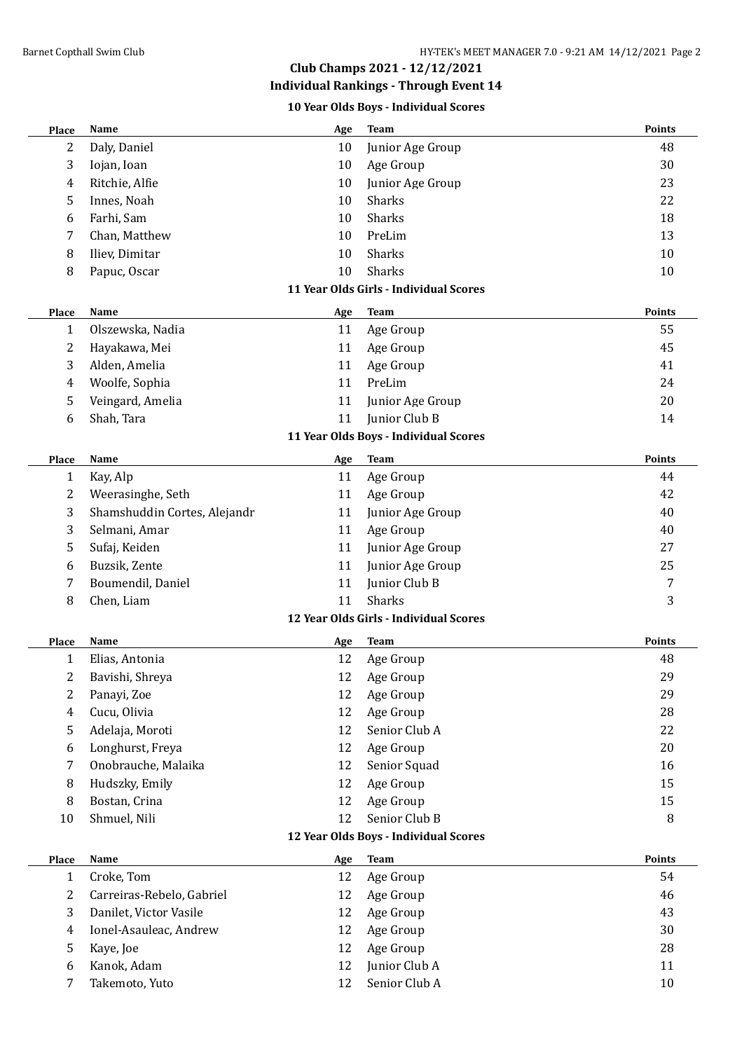# **Club Champs 2021 - 12/12/2021**

**Individual Rankings - Through Event 14**

**10 Year Olds Boys - Individual Scores**

| Place        | <b>Name</b>                  | Age       | <b>Team</b>                            | Points |
|--------------|------------------------------|-----------|----------------------------------------|--------|
| 2            | Daly, Daniel                 | 10        | Junior Age Group                       | 48     |
| 3            | Iojan, Ioan                  | 10        | Age Group                              | 30     |
| 4            | Ritchie, Alfie               | 10        | Junior Age Group                       | 23     |
| 5            | Innes, Noah                  | 10        | Sharks                                 | 22     |
| 6            | Farhi, Sam                   | 10        | Sharks                                 | 18     |
| 7            | Chan, Matthew                | 10        | PreLim                                 | 13     |
| 8            | Iliev, Dimitar               | 10        | Sharks                                 | 10     |
| 8            | Papuc, Oscar                 | 10        | <b>Sharks</b>                          | 10     |
|              |                              |           | 11 Year Olds Girls - Individual Scores |        |
| <b>Place</b> | Name                         | Age       | <b>Team</b>                            | Points |
| 1            | Olszewska, Nadia             | 11        | Age Group                              | 55     |
| 2            | Hayakawa, Mei                | 11        | Age Group                              | 45     |
| 3            | Alden, Amelia                | 11        | Age Group                              | 41     |
| 4            | Woolfe, Sophia               | 11        | PreLim                                 | 24     |
| 5            | Veingard, Amelia             | 11        | Junior Age Group                       | 20     |
| 6            | Shah, Tara                   | 11        | Junior Club B                          | 14     |
|              |                              |           | 11 Year Olds Boys - Individual Scores  |        |
|              |                              |           |                                        | Points |
| Place        | Name                         | Age<br>11 | <b>Team</b>                            | 44     |
| 1            | Kay, Alp                     | 11        | Age Group                              | 42     |
| 2            | Weerasinghe, Seth            |           | Age Group                              |        |
| 3            | Shamshuddin Cortes, Alejandr | 11        | Junior Age Group                       | 40     |
| 3            | Selmani, Amar                | 11        | Age Group                              | 40     |
| 5            | Sufaj, Keiden                | 11        | Junior Age Group                       | 27     |
| 6            | Buzsik, Zente                | 11        | Junior Age Group                       | 25     |
| 7            | Boumendil, Daniel            | 11        | Junior Club B                          | 7      |
| 8            | Chen, Liam                   | 11        | <b>Sharks</b>                          | 3      |
|              |                              |           | 12 Year Olds Girls - Individual Scores |        |
| <b>Place</b> | Name                         | Age       | <b>Team</b>                            | Points |
| 1            | Elias, Antonia               | 12        | Age Group                              | 48     |
| 2            | Bavishi, Shreya              | 12        | Age Group                              | 29     |
| 2            | Panayi, Zoe                  | 12        | Age Group                              | 29     |
| 4            | Cucu, Olivia                 | 12        | Age Group                              | 28     |
| 5            | Adelaja, Moroti              | 12        | Senior Club A                          | 22     |
| 6            | Longhurst, Freya             | 12        | Age Group                              | 20     |
| 7            | Onobrauche, Malaika          | 12        | Senior Squad                           | 16     |
| 8            | Hudszky, Emily               | 12        | Age Group                              | 15     |
| 8            | Bostan, Crina                | 12        | Age Group                              | 15     |
| 10           | Shmuel, Nili                 | 12        | Senior Club B                          | 8      |
|              |                              |           | 12 Year Olds Boys - Individual Scores  |        |
| Place        | Name                         | Age       | <b>Team</b>                            | Points |
| 1            | Croke, Tom                   | 12        | Age Group                              | 54     |
| 2            | Carreiras-Rebelo, Gabriel    | 12        | Age Group                              | 46     |
| 3            | Danilet, Victor Vasile       | 12        | Age Group                              | 43     |
| 4            | Ionel-Asauleac, Andrew       | 12        | Age Group                              | 30     |
| 5            | Kaye, Joe                    | 12        | Age Group                              | 28     |
| 6            | Kanok, Adam                  | 12        | Junior Club A                          | 11     |
| 7            | Takemoto, Yuto               | 12        | Senior Club A                          | 10     |
|              |                              |           |                                        |        |